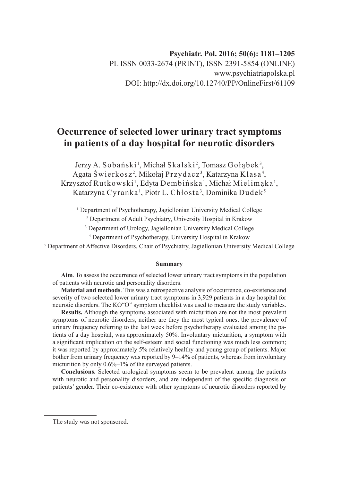## **Psychiatr. Pol. 2016; 50(6): 1181–1205** PL ISSN 0033-2674 (PRINT), ISSN 2391-5854 (ONLINE) www.psychiatriapolska.pl DOI: http://dx.doi.org/10.12740/PP/OnlineFirst/61109

# **Occurrence of selected lower urinary tract symptoms in patients of a day hospital for neurotic disorders**

Jerzy A. Sobański<sup>1</sup>, Michał Skalski<sup>2</sup>, Tomasz Gołąbek<sup>3</sup>, Agata Świerkosz<sup>2</sup>, Mikołaj Przydacz<sup>3</sup>, Katarzyna Klasa<sup>4</sup>, Krzysztof Rutkowski<sup>1</sup>, Edyta Dembińska<sup>1</sup>, Michał Mielimąka<sup>1</sup>, Katarzyna Cyranka <sup>1</sup>, Piotr L. Chłosta <sup>3</sup>, Dominika Dudek <sup>5</sup>

<sup>1</sup> Department of Psychotherapy, Jagiellonian University Medical College

2 Department of Adult Psychiatry, University Hospital in Krakow

3 Department of Urology, Jagiellonian University Medical College

4 Department of Psychotherapy, University Hospital in Krakow

<sup>5</sup> Department of Affective Disorders, Chair of Psychiatry, Jagiellonian University Medical College

#### **Summary**

**Aim**. To assess the occurrence of selected lower urinary tract symptoms in the population of patients with neurotic and personality disorders.

**Material and methods**. This was a retrospective analysis of occurrence, co-existence and severity of two selected lower urinary tract symptoms in 3,929 patients in a day hospital for neurotic disorders. The KO"O" symptom checklist was used to measure the study variables.

**Results.** Although the symptoms associated with micturition are not the most prevalent symptoms of neurotic disorders, neither are they the most typical ones, the prevalence of urinary frequency referring to the last week before psychotherapy evaluated among the patients of a day hospital, was approximately 50%. Involuntary micturition, a symptom with a significant implication on the self-esteem and social functioning was much less common; it was reported by approximately 5% relatively healthy and young group of patients. Major bother from urinary frequency was reported by 9–14% of patients, whereas from involuntary micturition by only 0.6%–1% of the surveyed patients.

**Conclusions.** Selected urological symptoms seem to be prevalent among the patients with neurotic and personality disorders, and are independent of the specific diagnosis or patients' gender. Their co-existence with other symptoms of neurotic disorders reported by

The study was not sponsored.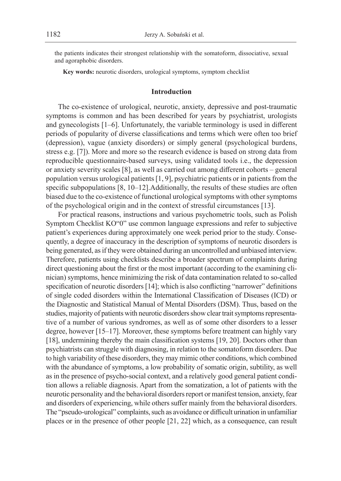the patients indicates their strongest relationship with the somatoform, dissociative, sexual and agoraphobic disorders.

**Key words:** neurotic disorders, urological symptoms, symptom checklist

#### **Introduction**

The co-existence of urological, neurotic, anxiety, depressive and post-traumatic symptoms is common and has been described for years by psychiatrist, urologists and gynecologists [1–6]. Unfortunately, the variable terminology is used in different periods of popularity of diverse classifications and terms which were often too brief (depression), vague (anxiety disorders) or simply general (psychological burdens, stress e.g. [7]). More and more so the research evidence is based on strong data from reproducible questionnaire-based surveys, using validated tools i.e., the depression or anxiety severity scales [8], as well as carried out among different cohorts – general population versus urological patients [1, 9], psychiatric patients or in patients from the specific subpopulations [8, 10-12]. Additionally, the results of these studies are often biased due to the co-existence of functional urological symptoms with other symptoms of the psychological origin and in the context of stressful circumstances [13].

For practical reasons, instructions and various psychometric tools, such as Polish Symptom Checklist KO"0" use common language expressions and refer to subjective patient's experiences during approximately one week period prior to the study. Consequently, a degree of inaccuracy in the description of symptoms of neurotic disorders is being generated, as if they were obtained during an uncontrolled and unbiased interview. Therefore, patients using checklists describe a broader spectrum of complaints during direct questioning about the first or the most important (according to the examining clinician) symptoms, hence minimizing the risk of data contamination related to so-called specification of neurotic disorders [14]; which is also conflicting "narrower" definitions of single coded disorders within the International Classification of Diseases (ICD) or the Diagnostic and Statistical Manual of Mental Disorders (DSM). Thus, based on the studies, majority of patients with neurotic disorders show clear trait symptoms representative of a number of various syndromes, as well as of some other disorders to a lesser degree, however [15–17]. Moreover, these symptoms before treatment can highly vary [18], undermining thereby the main classification systems [19, 20]. Doctors other than psychiatrists can struggle with diagnosing, in relation to the somatoform disorders. Due to high variability of these disorders, they may mimic other conditions, which combined with the abundance of symptoms, a low probability of somatic origin, subtility, as well as in the presence of psycho-social context, and a relatively good general patient condition allows a reliable diagnosis. Apart from the somatization, a lot of patients with the neurotic personality and the behavioral disorders report or manifest tension, anxiety, fear and disorders of experiencing, while others suffer mainly from the behavioral disorders. The "pseudo-urological" complaints, such as avoidance or difficult urination in unfamiliar places or in the presence of other people [21, 22] which, as a consequence, can result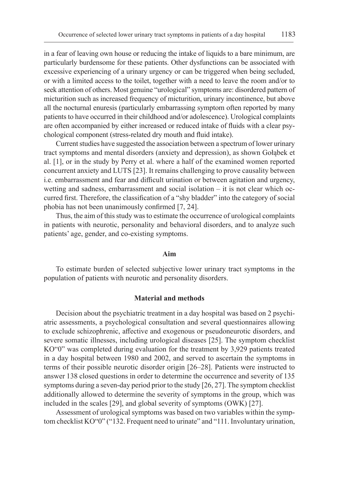in a fear of leaving own house or reducing the intake of liquids to a bare minimum, are particularly burdensome for these patients. Other dysfunctions can be associated with excessive experiencing of a urinary urgency or can be triggered when being secluded, or with a limited access to the toilet, together with a need to leave the room and/or to seek attention of others. Most genuine "urological" symptoms are: disordered pattern of micturition such as increased frequency of micturition, urinary incontinence, but above all the nocturnal enuresis (particularly embarrassing symptom often reported by many patients to have occurred in their childhood and/or adolescence). Urological complaints are often accompanied by either increased or reduced intake of fluids with a clear psychological component (stress-related dry mouth and fluid intake).

Current studies have suggested the association between a spectrum of lower urinary tract symptoms and mental disorders (anxiety and depression), as shown Gołąbek et al. [1], or in the study by Perry et al. where a half of the examined women reported concurrent anxiety and LUTS [23]. It remains challenging to prove causality between i.e. embarrassment and fear and difficult urination or between agitation and urgency, wetting and sadness, embarrassment and social isolation – it is not clear which occurred first. Therefore, the classification of a "shy bladder" into the category of social phobia has not been unanimously confirmed [7, 24].

Thus, the aim of this study was to estimate the occurrence of urological complaints in patients with neurotic, personality and behavioral disorders, and to analyze such patients' age, gender, and co-existing symptoms.

#### **Aim**

To estimate burden of selected subjective lower urinary tract symptoms in the population of patients with neurotic and personality disorders.

### **Material and methods**

Decision about the psychiatric treatment in a day hospital was based on 2 psychiatric assessments, a psychological consultation and several questionnaires allowing to exclude schizophrenic, affective and exogenous or pseudoneurotic disorders, and severe somatic illnesses, including urological diseases [25]. The symptom checklist KO"0" was completed during evaluation for the treatment by 3,929 patients treated in a day hospital between 1980 and 2002, and served to ascertain the symptoms in terms of their possible neurotic disorder origin [26–28]. Patients were instructed to answer 138 closed questions in order to determine the occurrence and severity of 135 symptoms during a seven-day period prior to the study [26, 27]. The symptom checklist additionally allowed to determine the severity of symptoms in the group, which was included in the scales [29], and global severity of symptoms (OWK) [27].

Assessment of urological symptoms was based on two variables within the symptom checklist KO"0" ("132. Frequent need to urinate" and "111. Involuntary urination,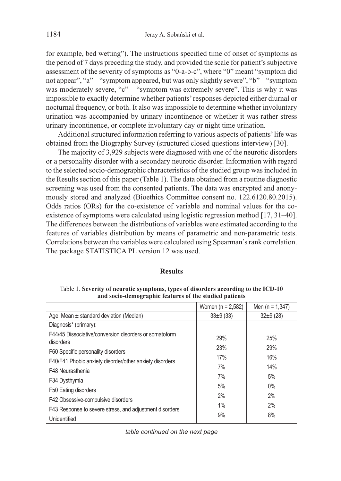for example, bed wetting"). The instructions specified time of onset of symptoms as the period of 7 days preceding the study, and provided the scale for patient's subjective assessment of the severity of symptoms as "0-a-b-c", where "0" meant "symptom did not appear", "a" – "symptom appeared, but was only slightly severe", "b" – "symptom was moderately severe, "c" – "symptom was extremely severe". This is why it was impossible to exactly determine whether patients' responses depicted either diurnal or nocturnal frequency, or both. It also was impossible to determine whether involuntary urination was accompanied by urinary incontinence or whether it was rather stress urinary incontinence, or complete involuntary day or night time urination.

Additional structured information referring to various aspects of patients' life was obtained from the Biography Survey (structured closed questions interview) [30].

The majority of 3,929 subjects were diagnosed with one of the neurotic disorders or a personality disorder with a secondary neurotic disorder. Information with regard to the selected socio-demographic characteristics of the studied group was included in the Results section of this paper (Table 1). The data obtained from a routine diagnostic screening was used from the consented patients. The data was encrypted and anonymously stored and analyzed (Bioethics Committee consent no. 122.6120.80.2015). Odds ratios (ORs) for the co-existence of variable and nominal values for the coexistence of symptoms were calculated using logistic regression method [17, 31–40]. The differences between the distributions of variables were estimated according to the features of variables distribution by means of parametric and non-parametric tests. Correlations between the variables were calculated using Spearman's rank correlation. The package STATISTICA PL version 12 was used.

### **Results**

Table 1. **Severity of neurotic symptoms, types of disorders according to the ICD-10 and socio-demographic features of the studied patients**

|                                                                         | Women $(n = 2.582)$ | Men $(n = 1, 347)$ |
|-------------------------------------------------------------------------|---------------------|--------------------|
| Age: Mean $\pm$ standard deviation (Median)                             | $33\pm9(33)$        | $32+9(28)$         |
| Diagnosis* (primary):                                                   |                     |                    |
| F44/45 Dissociative/conversion disorders or somatoform<br>disorders     | 29%                 | 25%                |
| F60 Specific personality disorders                                      | 23%                 | 29%                |
| F40/F41 Phobic anxiety disorder/other anxiety disorders                 | 17%                 | 16%                |
| F48 Neurasthenia                                                        | 7%                  | 14%                |
| F34 Dysthymia                                                           | 7%                  | 5%                 |
| F50 Eating disorders                                                    | 5%                  | $0\%$              |
| F42 Obsessive-compulsive disorders                                      | 2%                  | 2%                 |
|                                                                         | 1%                  | 2%                 |
| F43 Response to severe stress, and adjustment disorders<br>Unidentified | 9%                  | 8%                 |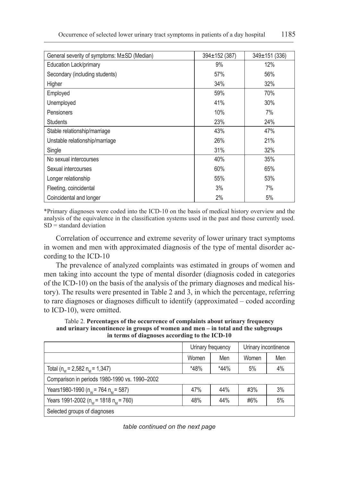| General severity of symptoms: M±SD (Median) | 394±152 (387) | 349±151 (336) |
|---------------------------------------------|---------------|---------------|
| Education Lack/primary                      | 9%            | 12%           |
| Secondary (including students)              | 57%           | 56%           |
| Higher                                      | 34%           | 32%           |
| Employed                                    | 59%           | 70%           |
| Unemployed                                  | 41%           | 30%           |
| Pensioners                                  | 10%           | 7%            |
| <b>Students</b>                             | 23%           | 24%           |
| Stable relationship/marriage                | 43%           | 47%           |
| Unstable relationship/marriage              | 26%           | 21%           |
| Single                                      | 31%           | 32%           |
| No sexual intercourses                      | 40%           | 35%           |
| Sexual intercourses                         | 60%           | 65%           |
| Longer relationship                         | 55%           | 53%           |
| Fleeting, coincidental                      | 3%            | 7%            |
| Coincidental and longer                     | 2%            | 5%            |

\*Primary diagnoses were coded into the ICD-10 on the basis of medical history overview and the analysis of the equivalence in the classification systems used in the past and those currently used.  $SD =$  standard deviation

Correlation of occurrence and extreme severity of lower urinary tract symptoms in women and men with approximated diagnosis of the type of mental disorder according to the ICD-10

The prevalence of analyzed complaints was estimated in groups of women and men taking into account the type of mental disorder (diagnosis coded in categories of the ICD-10) on the basis of the analysis of the primary diagnoses and medical history). The results were presented in Table 2 and 3, in which the percentage, referring to rare diagnoses or diagnoses difficult to identify (approximated – coded according to ICD-10), were omitted.

Table 2. **Percentages of the occurrence of complaints about urinary frequency and urinary incontinence in groups of women and men – in total and the subgroups in terms of diagnoses according to the ICD-10**

|                                               |              | Urinary frequency |       | Urinary incontinence |  |  |
|-----------------------------------------------|--------------|-------------------|-------|----------------------|--|--|
|                                               | Women<br>Men |                   | Women | Men                  |  |  |
| Total ( $n_w$ = 2,582 $n_w$ = 1,347)          | $*48%$       | $*44%$            | 5%    | 4%                   |  |  |
| Comparison in periods 1980-1990 vs. 1990-2002 |              |                   |       |                      |  |  |
| Years 1980-1990 ( $n_w$ = 764 $n_w$ = 587)    | 47%          | 44%               | #3%   | 3%                   |  |  |
| Years 1991-2002 ( $n_w$ = 1818 $n_w$ = 760)   | 48%          | 44%               | #6%   | 5%                   |  |  |
| Selected groups of diagnoses                  |              |                   |       |                      |  |  |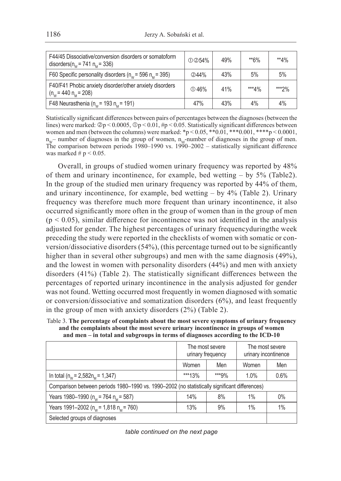| F44/45 Dissociative/conversion disorders or somatoform<br>disorders( $n_w$ = 741 $n_w$ = 336) | ① 254% | 49% | **6%    | $*4\%$ |
|-----------------------------------------------------------------------------------------------|--------|-----|---------|--------|
| F60 Specific personality disorders ( $n_w$ = 596 $n_s$ = 395)                                 | (2)44% | 43% | 5%      | 5%     |
| F40/F41 Phobic anxiety disorder/other anxiety disorders<br>$(n_w = 440 n_w = 208)$            | ① 46%  | 41% | $***4%$ | ***?%  |
| F48 Neurasthenia ( $n_w$ = 193 $n_w$ = 191)                                                   | 47%    | 43% | 4%      | 4%     |

Statistically significant differences between pairs of percentages between the diagnoses (between the lines) were marked:  $\mathcal{D}_p < 0.0005$ ,  $\mathcal{D}_p < 0.01$ , #p < 0.05. Statistically significant differences between women and men (between the columns) were marked:  $*p < 0.05$ ,  $**0.01$ ,  $***0.001$ ,  $***p < 0.0001$ ,  $n_w$ – number of diagnoses in the group of women,  $n_w$ -number of diagnoses in the group of men. The comparison between periods 1980–1990 vs. 1990–2002 – statistically significant difference was marked  $# p < 0.05$ .

Overall, in groups of studied women urinary frequency was reported by 48% of them and urinary incontinence, for example, bed wetting – by 5% (Table2). In the group of the studied men urinary frequency was reported by 44% of them, and urinary incontinence, for example, bed wetting  $-$  by 4% (Table 2). Urinary frequency was therefore much more frequent than urinary incontinence, it also occurred significantly more often in the group of women than in the group of men  $(p < 0.05)$ , similar difference for incontinence was not identified in the analysis adjusted for gender. The highest percentages of urinary frequencyduringthe week preceding the study were reported in the checklists of women with somatic or conversion/dissociative disorders (54%), (this percentage turned out to be significantly higher than in several other subgroups) and men with the same diagnosis (49%), and the lowest in women with personality disorders (44%) and men with anxiety disorders (41%) (Table 2). The statistically significant differences between the percentages of reported urinary incontinence in the analysis adjusted for gender was not found. Wetting occurred most frequently in women diagnosed with somatic or conversion/dissociative and somatization disorders (6%), and least frequently in the group of men with anxiety disorders (2%) (Table 2).

Table 3. **The percentage of complaints about the most severe symptoms of urinary frequency and the complaints about the most severe urinary incontinence in groups of women and men – in total and subgroups in terms of diagnoses according to the ICD-10**

|                                                                                               | The most severe<br>urinary frequency |       | The most severe<br>urinary incontinence |      |  |  |
|-----------------------------------------------------------------------------------------------|--------------------------------------|-------|-----------------------------------------|------|--|--|
|                                                                                               | Women<br>Men                         |       | Women                                   | Men  |  |  |
| In total ( $n_w$ = 2,582 $n_w$ = 1,347)                                                       | ***13%                               | ***9% | $1.0\%$                                 | 0.6% |  |  |
| Comparison between periods 1980–1990 vs. 1990–2002 (no statistically significant differences) |                                      |       |                                         |      |  |  |
| Years 1980–1990 ( $n_w$ = 764 $n_w$ = 587)                                                    | 14%                                  | 8%    | 1%                                      | 0%   |  |  |
| Years 1991–2002 ( $n_w$ = 1,818 $n_w$ = 760)                                                  | 13%                                  | 9%    | 1%                                      | 1%   |  |  |
| Selected groups of diagnoses                                                                  |                                      |       |                                         |      |  |  |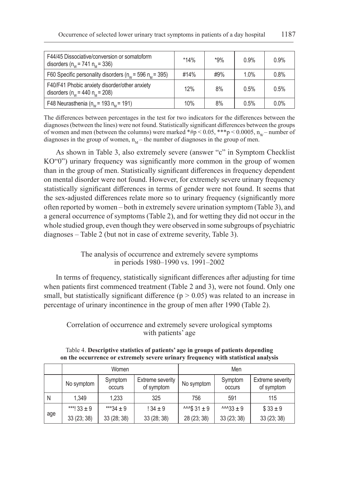| F44/45 Dissociative/conversion or somatoform<br>disorders ( $n_w$ = 741 $n_u$ = 336)  | $*14%$ | $*9%$ | 0.9%    | 0.9% |
|---------------------------------------------------------------------------------------|--------|-------|---------|------|
| F60 Specific personality disorders ( $n_w$ = 596 $n_u$ = 395)                         | #14%   | #9%   | $1.0\%$ | 0.8% |
| F40/F41 Phobic anxiety disorder/other anxiety<br>disorders ( $n_w$ = 440 $n_u$ = 208) | 12%    | 8%    | 0.5%    | 0.5% |
| F48 Neurasthenia ( $n_w$ = 193 $n_w$ = 191)                                           | 10%    | 8%    | 0.5%    | 0.0% |

The differences between percentages in the test for two indicators for the differences between the diagnoses (between the lines) were not found. Statistically significant differences between the groups of women and men (between the columns) were marked  $*#p < 0.05$ ,  $**p < 0.0005$ ,  $n_w$  – number of diagnoses in the group of women,  $n_M$  – the number of diagnoses in the group of men.

As shown in Table 3, also extremely severe (answer "c" in Symptom Checklist KO"0") urinary frequency was significantly more common in the group of women than in the group of men. Statistically significant differences in frequency dependent on mental disorder were not found. However, for extremely severe urinary frequency statistically significant differences in terms of gender were not found. It seems that the sex-adjusted differences relate more so to urinary frequency (significantly more often reported by women – both in extremely severe urination symptom (Table 3), and a general occurrence of symptoms (Table 2), and for wetting they did not occur in the whole studied group, even though they were observed in some subgroups of psychiatric diagnoses – Table 2 (but not in case of extreme severity, Table 3).

## The analysis of occurrence and extremely severe symptoms in periods 1980–1990 vs. 1991–2002

In terms of frequency, statistically significant differences after adjusting for time when patients first commenced treatment (Table 2 and 3), were not found. Only one small, but statistically significant difference ( $p > 0.05$ ) was related to an increase in percentage of urinary incontinence in the group of men after 1990 (Table 2).

## Correlation of occurrence and extremely severe urological symptoms with patients' age

|     |                                                                   | Women       |                                 | Men         |                                       |             |
|-----|-------------------------------------------------------------------|-------------|---------------------------------|-------------|---------------------------------------|-------------|
|     | Symptom<br>Extreme severity<br>No symptom<br>of symptom<br>occurs |             | Symptom<br>No symptom<br>occurs |             | <b>Extreme severity</b><br>of symptom |             |
| N   | 1.349                                                             | 1.233       | 325                             | 756         | 591                                   | 115         |
| age | ***! $33 \pm 9$                                                   | ***34 ± 9   | $134 \pm 9$                     | $31 \pm 9$  | $44.33 \pm 9$                         | $$33 \pm 9$ |
|     | 33(23; 38)                                                        | 33 (28; 38) | 33 (28; 38)                     | 28 (23; 38) | 33 (23; 38)                           | 33 (23; 38) |

Table 4. **Descriptive statistics of patients' age in groups of patients depending on the occurrence or extremely severe urinary frequency with statistical analysis**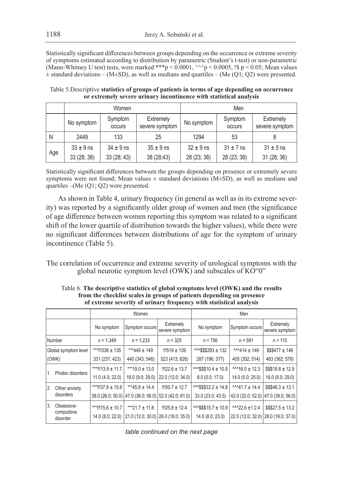Statistically significant differences between groups depending on the occurrence or extreme severity of symptoms estimated according to distribution by parametric (Student's t-test) or non-parametric (Mann-Whitney U test) tests, were marked  $**p < 0.0001$ ,  $\wedge$   $\wedge$   $p < 0.0005$ , !\$ p < 0.05; Mean values  $\pm$  standard deviations – (M $\pm$ SD), as well as medians and quartiles – (Me (Q1; Q2) were presented.

| Table 5. Descriptive statistics of groups of patients in terms of age depending on occurrence |
|-----------------------------------------------------------------------------------------------|
| or extremely severe urinary incontinence with statistical analysis                            |

|     |                                                                | Women         |               | Men                      |                             |               |  |
|-----|----------------------------------------------------------------|---------------|---------------|--------------------------|-----------------------------|---------------|--|
|     | Symptom<br>Extremely<br>No symptom<br>severe symptom<br>occurs |               | No symptom    | Symptom<br><b>OCCUIS</b> | Extremely<br>severe symptom |               |  |
| N   | 2449<br>133<br>25                                              |               | 1294          | 53                       |                             |               |  |
| Age | $33 \pm 9$ ns                                                  | $34 \pm 9$ ns | $35 \pm 9$ ns | $32 \pm 9$ ns            | $31 \pm 7$ ns               | $31 \pm 5$ ns |  |
|     | 33(28; 38)                                                     | 33(28; 43)    | 38 (28;43)    | 28 (23; 38)              | 28 (23; 38)                 | 31 (28; 36)   |  |

Statistically significant differences between the groups depending on presence or extremely severe symptoms were not found; Mean values  $\pm$  standard deviations (M $\pm$ SD), as well as medians and quartiles –(Me (Q1; Q2) were presented.

As shown in Table 4, urinary frequency (in general as well as in its extreme severity) was reported by a significantly older group of women and men (the significance of age difference between women reporting this symptom was related to a significant shift of the lower quartile of distribution towards the higher values), while there were no significant differences between distributions of age for the symptom of urinary incontinence (Table 5).

The correlation of occurrence and extreme severity of urological symptoms with the global neurotic symptom level (OWK) and subscales of KO"0"

|     |                        | Women                 |                                          |                             | Men                          |                      |                                     |  |
|-----|------------------------|-----------------------|------------------------------------------|-----------------------------|------------------------------|----------------------|-------------------------------------|--|
|     |                        | No symptom            | Symptom occurs                           | Extremely<br>severe symptom | No symptom                   | Symptom occurs       | Extremely<br>severe symptom         |  |
|     | Number                 | $n = 1,349$           | $n = 1,233$                              | $n = 325$                   | $n = 756$                    | $n = 591$            | $n = 115$                           |  |
|     | Global symptom level   | ***!!!338 ± 135       | ***449 ± 149                             | $11519 \pm 139$             | 132                          | $144 + 149$          | $$\$$477 \pm 146$                   |  |
|     | (OWK)                  | 331 (237; 423)        | 440 (343; 546)                           | 523 (413; 626)              | 287 (196; 377)               | 405 (302; 514)       | 483 (362; 578)                      |  |
| 1.  | Phobic disorders       | ***!!!13.9 ± 11.7     | ***19.0 ± 13.0                           | $1!22.6 \pm 13.7$           | $34.4 + 10.5$                | $M16.0 \pm 12.3$     | $$\$$18.8 \pm 12.9$                 |  |
|     |                        | 11.0(4.0; 22.0)       | 18.0 (9.0; 29.0)                         | 22.0 (12.0; 34.0)           | 8.0(0.0; 17.0)               | 14.0 (5.0; 25.0)     | 16.0(8.0; 29.0)                     |  |
| 12. | Other anxiety          | ***!!!37.8 $\pm$ 15.6 | ***45.8 ± 14.4                           | $1150.7 \pm 12.7$           | $^{11.6}$ MMS\$\$33.2 ± 14.8 | $M$ 41.7 ± 14.4      | $$\$$46.3 \pm 13.1$                 |  |
|     | disorders              |                       | 38.0 (26.0; 50.0) 47.0 (36.0; 56.0)      | 52.0 (42.0; 61.0)           | 33.0 (23.0; 43.5)            |                      | 42.0 (32.0; 52.0) 47.0 (38.0; 56.0) |  |
| 13. | Obsessive-             | ***!!!15.6 ± 10.7     | $***21.7 \pm 11.8$                       | $1!25.8 \pm 12.4$           | $443$ \$\$15.7 ± 10.9        | $^{AAA}$ 22.6 ±1 2.4 | $$\$$27.5 \pm 13.2$                 |  |
|     | compulsive<br>disorder | 14.0 (8.0; 22.0)      | $(21.0 (12.0; 30.0) (26.0 (18.0; 35.0))$ |                             | 14.0 (8.0; 23.0)             |                      | 22.0 (12.0; 32.0) 28.0 (16.0; 37.0) |  |

Table 6. **The descriptive statistics of global symptoms level (OWK) and the results from the checklist scales in groups of patients depending on presence of extreme severity of urinary frequency with statistical analysis**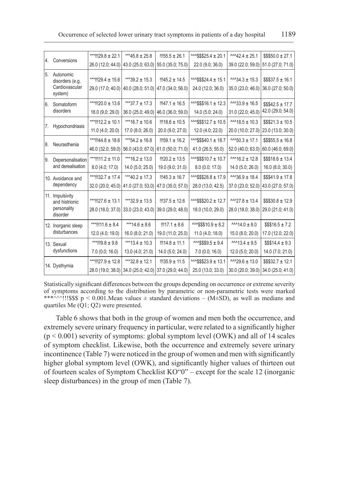| 4. | Conversions                                                  | ***!!!29.8 ± 22.1                      | ***45.8 ± 25.8                                                          | $1155.5 \pm 26.1$                       | $44.4$ \$\$\$25.4 ± 20.1                  | $1.424 + 25.1$                                                                              | $$$550.0 \pm 27.1$                       |
|----|--------------------------------------------------------------|----------------------------------------|-------------------------------------------------------------------------|-----------------------------------------|-------------------------------------------|---------------------------------------------------------------------------------------------|------------------------------------------|
|    |                                                              |                                        | 26.0 (12.0; 44.0) 43.0 (25.0; 63.0)                                     | 55.0 (35.0; 75.0)                       | 22.0 (9.0; 36.0)                          | 39.0 (22.0; 59.0)                                                                           | 51.0 (27.0; 71.0)                        |
| 5. | Autonomic<br>disorders (e.g.<br>Cardiovascular<br>system)    | ***!!!29.4 ± 15.6<br>29.0 (17.0; 40.0) | ***39.2 ± 15.3<br>40.0 (28.0; 51.0)                                     | $1145.2 \pm 14.5$<br>47.0 (34.0; 56.0)  | $44.4 + 15.1$<br>24.0 (12.0; 36.0)        | $^{AA}34.3 \pm 15.3$<br>35.0 (23.0; 46.0)                                                   | $$\$$37.5 \pm 16.1$<br>36.0 (27.0; 50.0) |
| 6. | Somatoform<br>disorders                                      | ***!!!20.0 ± 13.6<br>18.0 (9,0; 29.0)  | ***37.7 $\pm$ 17.3<br>36.0 (25.0; 49.0)                                 | $1!147.1 \pm 16.5$<br>46.0 (36.0; 59.0) | $44.3$ $+ 12.3$<br>14.0 (5.0; 24.0)       | $^{AAA}33.9 \pm 16.5$<br>31.0 (22.0; 45.0)                                                  | $$\$$42.5 \pm 17.7$<br>42.0 (29.0; 54.0) |
| 7. | Hypochondriasis                                              | ***!!!12.2 ± 10.1<br>11.0(4.0; 20.0)   | ***16.7 ± 10.6<br>17.0 (8.0; 26.0)                                      | $1!18.6 \pm 10.5$<br>20.0 (9.0; 27.0)   | ^^^\$\$\$12.7 ± 10.5<br>12.0 (4.0; 22.0)  | $^{AAA}$ 18.5 ± 10.3<br>20.0 (10.0; 27.0)                                                   | $$\$$21.3 \pm 10.5$<br>23.0 (13.0; 30.0) |
| 8. | Neurasthenia                                                 | ***!!!44.8 ± 18.6<br>46.0 (32.0; 59.0) | ***54.2 ± 16.8<br>56.0 (43.0; 67.0)                                     | $1159.1 \pm 16.2$<br>61.0 (50.0; 71.0)  | ^^^\$\$\$40.1 ± 18.7<br>41.0 (26.5; 55.0) | $44.50.3 \pm 17.1$<br>52.0 (40.0; 63.0)                                                     | $$$555.5 \pm 16.8$<br>60.0 (46.0; 69.0)  |
| 9. | Depersonalisation<br>and derealisation                       | ***!!!11.2 ± 11.0<br>8.0 (4.0; 17.0)   | *** $16.2 \pm 13.0$<br>14.0 (5.0; 25.0)                                 | $1!20.2 \pm 13.5$<br>19.0 (9.0; 31.0)   | ^^^\$\$\$10.7 ± 10.7<br>8.0 (0.0; 17.0)   | 12.8<br>14.0 (5.0; 26.0)                                                                    | $$\$$18.6 \pm 13.4$<br>16.0 (8.0; 30.0)  |
|    | 10. Avoidance and<br>dependency                              | ***!!!32.7 ± 17.4<br>32.0 (20.0; 45.0) | ***40.2 ± 17.3<br>41.0 (27.0; 53.0)                                     | $1145.3 \pm 16.7$<br>47.0 (35.0; 57.0)  | ^^^\$\$\$28.8 ± 17.9<br>28.0 (13.0; 42.5) | $^{AA}36.9 \pm 18.4$<br>37.0 (23.0; 52.0)                                                   | $$$41.9 \pm 17.8$<br>43.0 (27.0; 57.0)   |
|    | 11. Impulsivity<br>and histrionic<br>personality<br>disorder | ***!!!27.6 ± 13.1<br>28.0 (18.0; 37.0) | ***32.9 ± 13.5<br>33.0 (23.0; 43.0)                                     | $1!37.5 \pm 12.6$<br>39.0 (29.0; 48.0)  | ^^^\$\$\$20.2 ± 12.7<br>18.0 (10.0; 29.0) | $^{AA27.8}$ ± 13.4<br>28.0 (18.0; 38.0)                                                     | $$$$30.8 \pm 12.9$<br>29.0 (21.0; 41.0)  |
|    | 12. Inorganic sleep<br>disturbances                          | ***!!!11.6 ± 8.4<br>12.0 (4.0; 19.0)   | ***14.6 ± 8.6<br>16.0 (8.0; 21.0)                                       | $1117.1 \pm 8.6$<br>19.0 (11.0; 25.0)   | $M$ $$$ \$\$10.9 ± 8.2<br>11.0(4.0; 18.0) | $0.8414.0 \pm 8.0$<br>15.0 (8.0; 20.0)                                                      | $$\$$16.5 \pm 7.2$<br>17.0 (12.0; 22.0)  |
|    | 13. Sexual<br>dysfunctions                                   | ***!!!9.8 ± 9.8<br>7.0(0.0; 16.0)      | ***13.4 ± 10.3<br>13.0 (4.0; 21.0)                                      | $1114.8 \pm 11.1$<br>14.0 (5.0; 24.0)   | 14<br>7.0(0.0; 16.0)                      | $\frac{\lambda \lambda \cdot 13.4 \pm 9.5}{\lambda \cdot 13.4 \pm 9.5}$<br>12.0 (5.0; 20.0) | $$\$$14.4 \pm 9.3$<br>14.0 (7.0; 21.0)   |
|    | 14. Dysthymia                                                | ***!!!27.9 ± 12.8                      | ***32.8 ± 12.1<br>28.0 (19.0; 38.0) 34.0 (25.0; 42.0) 37.0 (29.0; 44.0) | $1!35.9 \pm 11.5$                       | ^^^\$\$\$23.9 ± 13.1<br>25.0 (13.0; 33.0) | $^{AA}29.6 \pm 13.0$<br>30.0 (20.0; 39.0)                                                   | $$\$$32.7 \pm 12.1$<br>34.0 (25.0; 41.0) |

Statistically significant differences between the groups depending on occurrence or extreme severity of symptoms according to the distribution by parametric or non-parametric tests were marked \*\*\*^^^!!!\$\$\$ p < 0.001.Mean values  $\pm$  standard deviations – (M $\pm$ SD), as well as medians and quartiles Me (Q1; Q2) were presented.

Table 6 shows that both in the group of women and men both the occurrence, and extremely severe urinary frequency in particular, were related to a significantly higher  $(p < 0.001)$  severity of symptoms: global symptom level (OWK) and all of 14 scales of symptom checklist. Likewise, both the occurrence and extremely severe urinary incontinence (Table 7) were noticed in the group of women and men with significantly higher global symptom level (OWK), and significantly higher values of thirteen out of fourteen scales of Symptom Checklist KO"0" – except for the scale 12 (inorganic sleep disturbances) in the group of men (Table 7).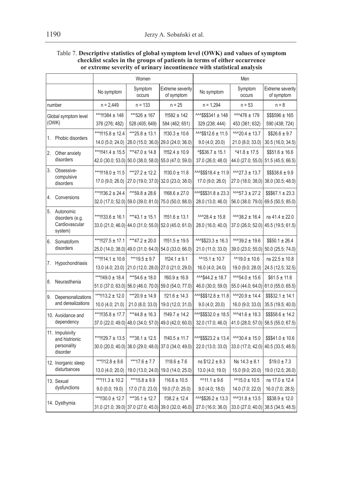#### Table 7. **Descriptive statistics of global symptom level (OWK) and values of symptom checklist scales in the groups of patients in terms of either occurrence or extreme severity of urinary incontinence with statistical analysis**

|    |                                              | Women             |                                     | Men                                                                         |                             |                                                                               |                                       |
|----|----------------------------------------------|-------------------|-------------------------------------|-----------------------------------------------------------------------------|-----------------------------|-------------------------------------------------------------------------------|---------------------------------------|
|    |                                              | No symptom        | Symptom<br><b>OCCUITS</b>           | <b>Extreme severity</b><br>of symptom                                       | No symptom                  | Symptom<br>occurs                                                             | <b>Extreme severity</b><br>of symptom |
|    | number                                       | n = 2,449         | $n = 133$                           | $n = 25$                                                                    | $n = 1,294$                 | $n = 53$                                                                      | $n = 8$                               |
|    | Global symptom level                         | ***!!!384 ± 148   | ***526 ± 167                        | $11582 + 142$                                                               | ^^^\$\$\$341 ± 148          | $M476 \pm 179$                                                                | $$$5596 \pm 165$                      |
|    | (OWK)                                        | 376 (276; 482)    | 528 (405; 649)                      | 584 (462; 651)                                                              | 329 (238; 444)              | 453 (361; 632)                                                                | 590 (438; 724)                        |
|    |                                              | ***!!!15.8 ± 12.4 | ***25.8 ± 13.1                      | $1!30.3 \pm 10.6$                                                           | $443$12.6 \pm 11.5$         | $^{AA\wedge20.4 \pm 13.7}$                                                    | $$26.6 \pm 9.7$                       |
| 1. | Phobic disorders                             | 14.0 (5.0; 24.0)  |                                     | 28.0 (15.0; 36.0) 29.0 (24.0; 36.0)                                         | 9.0(4.0; 20.0)              | 21.0 (8.0; 33.0)                                                              | 30.5 (16.0; 34.5)                     |
| 2. | Other anxiety                                | ***!!!41.4 ± 15.5 | ***47.0 ± 14.8                      | $1152.4 \pm 10.9$                                                           | $^{\prime}$ \$\$36.7 ± 15.1 | $41.8 \pm 17.5$                                                               | $$51.6 \pm 16.6$                      |
|    | disorders                                    |                   | 42.0 (30.0; 53.0) 50.0 (38.0; 58.0) | 55.0 (47.0; 59.0)                                                           | 37.0 (26.0; 48.0)           |                                                                               | 44.0 (27.0; 55.0) 51.5 (45.5; 66.5)   |
| 3. | Obsessive-                                   | ***!!!18.0 ± 11.5 | ***27.2 ± 12.2                      | $1!30.0 \pm 11.8$                                                           | ^^^\$\$\$18.4 ± 11.9        | $^{AAA}27.3 \pm 13.7$                                                         | $$$$338.6 \pm 9.9$                    |
|    | compulsive<br>disorders                      | 17.0 (9.0; 26.0)  |                                     | 27.0 (19.0; 37.0) 32.0 (23.0; 38.0)                                         | 17.0 (9.0; 26.0)            | 27.0 (18.0; 38,0)                                                             | 38.0 (30.5; 48.0)                     |
|    |                                              | ***!!!36.2 ± 24.4 | ***59.8 ± 28.6                      | $1168.6 \pm 27.0$                                                           | $1.8 + 23.3$                | $^{AA\Lambda}57.3 \pm 27.2$                                                   | $$$667.1 \pm 23.3$                    |
| 4. | Conversions                                  |                   | 32.0 (17.0; 52.0) 59.0 (39.0; 81.0) | 75.0 (50.0; 88.0)                                                           | 28.0 (13.0; 46.0)           | 56.0 (38.0; 79.0)                                                             | 69.5 (50.5; 85.0)                     |
| 5. | Autonomic                                    | ***!!!33.6 ± 16.1 | ***43.1 ± 15.1                      | $1!151.6 \pm 13.1$                                                          | $^{AA28.4}$ ± 15.8          | $^{AA}38.2 \pm 16.4$                                                          | $ns 41.4 \pm 22.0$                    |
|    | disorders (e.g.<br>Cardiovascular<br>system) |                   |                                     | 33.0 (21.0; 46.0) 44.0 (31.0; 55.0) 52.0 (45.0; 61.0)                       | 28.0 (16.0; 40.0)           | 37.0 (26.0; 52.0)                                                             | 45.5 (19.5; 61.5)                     |
| 6. | Somatoform<br>disorders                      | ***!!!27.5 ± 17.1 | ***47.2 ± 20.0                      | $1!151.5 \pm 19.5$                                                          | $^{AA}$ \$\$23.3 ± 16.3     | $^{AA}39.2 \pm 19.6$                                                          | $$550.1 \pm 26.4$                     |
|    |                                              |                   |                                     | 25.0 (14.0; 38.0) 49.0 (31.0; 64.0) 54.0 (33.0; 66.0)                       | 21.0 (11.0; 33.0)           | 39.0 (23.0; 55.0)                                                             | 50.0 (25.5; 74.0)                     |
|    |                                              | ***!!!14.1 ± 10.6 | ***19.5 ± 9.7                       | $1124.1 \pm 9.1$                                                            | $^{11.1}$ + 10.7            | $M$ 19.0 ± 10.6                                                               | $ns 22.5 \pm 10.8$                    |
| 7. | Hypochondriasis                              | 13.0 (4.0; 23.0)  |                                     | 21.0 (12.0; 28.0) 27.0 (21.0; 29.0)                                         | 16.0 (4.0; 24.0)            | 19.0 (9.0; 28.0)                                                              | 24.5 (12.5; 32.5)                     |
| 8. | Neurasthenia                                 | ***!!49.0 ± 18.4  | ***54.6 ± 18.0                      | $!160.9 \pm 16.9$                                                           | $^{AAAS44.2 \pm 18.7}$      | $M34.0 \pm 15.6$                                                              | $$61.5 \pm 11.6$                      |
|    |                                              | 51.0 (37.0; 63.0) |                                     | 56.0 (46.0; 70.0) 59.0 (54.0; 77.0)                                         | 46.0 (30.0; 59.0)           |                                                                               | 55.0 (44.0; 64.0) 61.0 (55.0; 65.5)   |
| 9. | Depersonalizations                           | ***!!13.2 ± 12.0  | ***20.9 ± 14.9                      | $!21.6 \pm 14.3$                                                            | $3.84$ $+ 11.8$             | $^{AA20.9 \pm 14.4}$                                                          | $$\$$32.1 \pm 14.1$                   |
|    | and derealizations                           | 10.0 (4.0; 21.0)  | 21.0(8.0; 33.0)                     | 19.0 (12.0; 31.0)                                                           | 9.0(4.0; 20.0)              | 16.0 (9.0; 33.0)                                                              | 35.5 (19.5; 40.0)                     |
|    | 10. Avoidance and                            | ***!!!35.8 ± 17.7 | $***44.8 \pm 16.3$                  | $1149.7 \pm 14.2$                                                           | ^^^\$\$\$32.0 ± 18.5        | $M/41.6 \pm 18.3$                                                             | $$$$58.6 \pm 14.2$                    |
|    | dependency                                   | 37.0 (22.0; 49.0) |                                     | 48.0 (34.0; 57.0) 49.0 (42.0; 60.0)                                         | 32.0 (17.0; 46.0)           | 41.0 (28.0; 57.0)                                                             | 58.5 (55.0; 67.5)                     |
|    | 11. Impulsivity                              |                   |                                     |                                                                             |                             |                                                                               |                                       |
|    | and histrionic<br>personality                | ***!!!29.7 ± 13.5 | ***38.1 ± 12.5                      | $1!140.5 \pm 11.7$<br>30.0 (20.0; 40.0) 38.0 (29.0; 48.0) 37.0 (34.0; 49.0) | 13.4                        | $\frac{\lambda \lambda 30.4 \pm 15.0}{\lambda \pm 15.0}$<br>33.0 (17.0; 42.0) | $$$41.0 \pm 10.6$                     |
|    | disorder                                     |                   |                                     |                                                                             | 22.0 (13.0; 33.0)           |                                                                               | 40.5 (33.5; 48.5)                     |
|    | 12. Inorganic sleep                          | ***!!12.8 ± 8.6   | ***17.6 $\pm$ 7.7                   | $!18.6 \pm 7.6$                                                             | $ns $12.2 \pm 8.3$          | $Ns$ 14.3 $\pm$ 8.1                                                           | $$19.0 \pm 7.3$                       |
|    | disturbances                                 | 13.0 (4.0; 20.0)  |                                     | 19.0 (13.0; 24.0) 19.0 (14.0; 25.0)                                         | 13.0 (4.0; 19.0)            | 15.0 (9.0; 20.0)                                                              | 19.0 (12.5; 26.0)                     |
|    | 13. Sexual                                   | ***!11.3 ± 10.2   | ***15.8 $\pm$ 9.9                   | $!16.6 \pm 10.5$                                                            | $M11.1 \pm 9.6$             | $M$ 15.0 ± 10.5                                                               | ns 17.0 ± 12.4                        |
|    | dysfunctions                                 | 9.0(0.0; 19.0)    | 17.0 (7.0; 23.0)                    | 19.0 (7.0; 25.0)                                                            | 9.0(4.0; 18.0)              | 14.0 (7.0; 22.0)                                                              | 16.0 (7.0; 28.5)                      |
|    |                                              | ***!!30.0 ± 12.7  | $***35.1 \pm 12.7$                  | $!38.2 \pm 12.4$                                                            | 3.3                         | $^{AAA}31.8 \pm 13.5$                                                         | $$338.9 \pm 12.0$                     |
|    | 14. Dysthymia                                |                   |                                     | 31.0 (21.0; 39.0) 37.0 (27.0; 45.0) 39.0 (32.0; 46.0)                       | 27.0 (16.0; 36.0)           |                                                                               | 33.0 (27.0; 40.0) 38.5 (34.5; 48.5)   |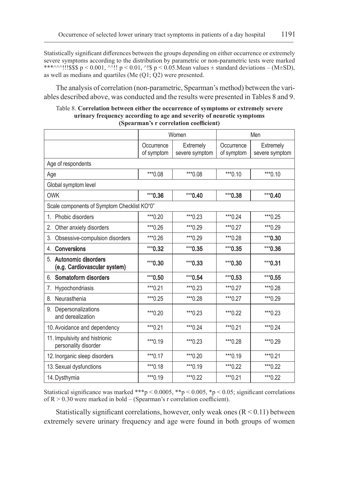Statistically significant differences between the groups depending on either occurrence or extremely severe symptoms according to the distribution by parametric or non-parametric tests were marked \*\*\*^^^!!!\$\$\$ p < 0.001, ^^!! p < 0.01, ^!\$ p < 0.05. Mean values  $\pm$  standard deviations – (M $\pm$ SD), as well as medians and quartiles (Me (Q1; Q2) were presented.

The analysis of correlation (non-parametric, Spearman's method) between the variables described above, was conducted and the results were presented in Tables 8 and 9.

| Table 8. Correlation between either the occurrence of symptoms or extremely severe |
|------------------------------------------------------------------------------------|
| urinary frequency according to age and severity of neurotic symptoms               |
| (Spearman's r correlation coefficient)                                             |

|                                                           | Women                    |                             | Men                      |                             |  |  |
|-----------------------------------------------------------|--------------------------|-----------------------------|--------------------------|-----------------------------|--|--|
|                                                           | Occurrence<br>of symptom | Extremely<br>severe symptom | Occurrence<br>of symptom | Extremely<br>severe symptom |  |  |
| Age of respondents                                        |                          |                             |                          |                             |  |  |
| Age                                                       | ***0.08                  | ***0.08                     | *** 0.10                 | $***0.10$                   |  |  |
| Global symptom level                                      |                          |                             |                          |                             |  |  |
| <b>OWK</b>                                                | $***0.36$                | *** 0.40                    | *** 0.38                 | $***0.40$                   |  |  |
| Scale components of Symptom Checklist KO"0"               |                          |                             |                          |                             |  |  |
| Phobic disorders<br>$1_{-}$                               | *** $0.20$               | *** 0.23                    | $***0.24$                | *** 0.25                    |  |  |
| Other anxiety disorders<br>2.                             | *** 0.26                 | *** 0.29                    | *** 0.27                 | *** 0.29                    |  |  |
| 3.<br>Obsessive-compulsion disorders                      | $***0.26$                | *** 0.29                    | *** 0.28                 | $***0.30$                   |  |  |
| Conversions<br>4.                                         | $***0.32$                | $***0.35$                   | $***0.35$                | $***0.36$                   |  |  |
| Autonomic disorders<br>5.<br>(e.g. Cardiovascular system) | $***0.30$                | $***0.33$                   | $***0.30$                | $***0.31$                   |  |  |
| Somatoform disorders<br>6.                                | *** 0.50                 | $***0.54$                   | $***0.53$                | $***0.55$                   |  |  |
| Hypochondriasis<br>7.                                     | $***0.21$                | $***0.23$                   | *** 0.27                 | *** 0.28                    |  |  |
| Neurasthenia<br>8.                                        | $***0.25$                | *** 0.28                    | $***0.27$                | *** 0.29                    |  |  |
| Depersonalizations<br>9.<br>and derealization             | *** 0.20                 | *** 0.23                    | *** $0.22$               | $***0.23$                   |  |  |
| 10. Avoidance and dependency                              | $***0.21$                | *** 0.24                    | *** 0.21                 | *** 0.24                    |  |  |
| 11. Impulsivity and histrionic<br>personality disorder    | *** 0.19                 | *** 0.23                    | $***0.28$                | $***0.29$                   |  |  |
| 12. Inorganic sleep disorders                             | $***0.17$                | *** 0.20                    | *** 0.19                 | *** 0.21                    |  |  |
| 13. Sexual dysfunctions                                   | *** 0.18                 | *** 0.19                    | *** $0.22$               | *** 0.22                    |  |  |
| 14. Dysthymia                                             | *** 0.19                 | *** 0.22                    | $***0.21$                | *** 0.22                    |  |  |

Statistical significance was marked \*\*\*p < 0.0005, \*\*p < 0.005, \*p < 0.05; significant correlations of  $R > 0.30$  were marked in bold – (Spearman's r correlation coefficient).

Statistically significant correlations, however, only weak ones  $(R < 0.11)$  between extremely severe urinary frequency and age were found in both groups of women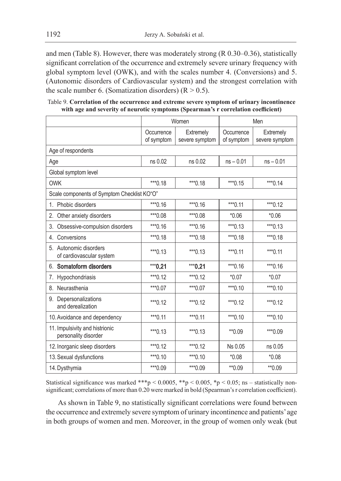and men (Table 8). However, there was moderately strong (R 0.30–0.36), statistically significant correlation of the occurrence and extremely severe urinary frequency with global symptom level (OWK), and with the scales number 4. (Conversions) and 5. (Autonomic disorders of Cardiovascular system) and the strongest correlation with the scale number 6. (Somatization disorders)  $(R > 0.5)$ .

Table 9. **Correlation of the occurrence and extreme severe symptom of urinary incontinence with age and severity of neurotic symptoms (Spearman's r correlation coefficient)**

|                                                        | Women      |                |             | Men            |
|--------------------------------------------------------|------------|----------------|-------------|----------------|
|                                                        | Occurrence | Extremely      | Occurrence  | Extremely      |
|                                                        | of symptom | severe symptom | of symptom  | severe symptom |
| Age of respondents                                     |            |                |             |                |
| Age                                                    | ns 0.02    | ns 0.02        | $ns - 0.01$ | $ns - 0.01$    |
| Global symptom level                                   |            |                |             |                |
| <b>OWK</b>                                             | ***0.18    | *** 0.18       | $***0.15$   | $***0.14$      |
| Scale components of Symptom Checklist KO"O"            |            |                |             |                |
| 1. Phobic disorders                                    | $***0.16$  | ***0.16        | $***0.11$   | $***0.12$      |
| 2.<br>Other anxiety disorders                          | ***0.08    | ***0.08        | $*0.06$     | $*0.06$        |
| 3.<br>Obsessive-compulsion disorders                   | $***0.16$  | ***0.16        | ***0.13     | *** 0.13       |
| Conversions<br>4.                                      | ***0.18    | *** 0.18       | *** 0.18    | *** 0.18       |
| 5. Autonomic disorders<br>of cardiovascular system     | $***0.13$  | $***0.13$      | $***0.11$   | $***0.11$      |
| 6. Somatoform disorders                                | $***0.21$  | $***0.21$      | *** 0.16    | $***0.16$      |
| Hypochondriasis<br>7.                                  | *** $0.12$ | *** $0.12$     | $*0.07$     | $*0.07$        |
| Neurasthenia<br>8.                                     | ***0.07    | ***0.07        | $***0.10$   | $***0.10$      |
| Depersonalizations<br>9.<br>and derealization          | *** $0.12$ | *** $0.12$     | *** 0.12    | *** $0.12$     |
| 10. Avoidance and dependency                           | *** 0.11   | *** $0.11$     | $***0.10$   | $***0.10$      |
| 11. Impulsivity and histrionic<br>personality disorder | $***0.13$  | *** 0.13       | ** 0.09     | ***0.09        |
| 12. Inorganic sleep disorders                          | *** $0.12$ | *** $0.12$     | Ns 0.05     | ns 0.05        |
| 13. Sexual dysfunctions                                | $***0.10$  | $***0.10$      | $*0.08$     | $*0.08$        |
| 14. Dysthymia                                          | *** 0.09   | ***0.09        | ** 0.09     | **0.09         |

Statistical significance was marked \*\*\*p < 0.0005, \*\*p < 0.005, \*p < 0.05; ns – statistically nonsignificant; correlations of more than 0.20 were marked in bold (Spearman's r correlation coefficient).

As shown in Table 9, no statistically significant correlations were found between the occurrence and extremely severe symptom of urinary incontinence and patients' age in both groups of women and men. Moreover, in the group of women only weak (but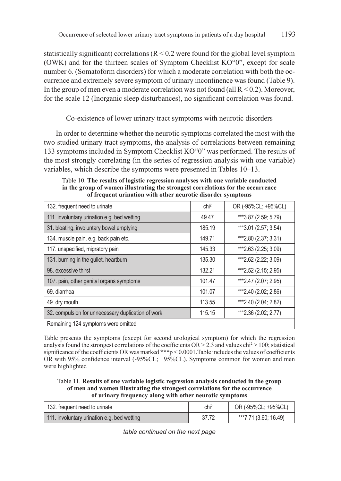statistically significant) correlations ( $R < 0.2$  were found for the global level symptom (OWK) and for the thirteen scales of Symptom Checklist KO"0", except for scale number 6. (Somatoform disorders) for which a moderate correlation with both the occurrence and extremely severe symptom of urinary incontinence was found (Table 9). In the group of men even a moderate correlation was not found (all  $R < 0.2$ ). Moreover, for the scale 12 (Inorganic sleep disturbances), no significant correlation was found.

Co-existence of lower urinary tract symptoms with neurotic disorders

In order to determine whether the neurotic symptoms correlated the most with the two studied urinary tract symptoms, the analysis of correlations between remaining 133 symptoms included in Symptom Checklist KO"0" was performed. The results of the most strongly correlating (in the series of regression analysis with one variable) variables, which describe the symptoms were presented in Tables 10–13.

| 132. frequent need to urinate                      | chi <sup>2</sup> | OR (-95%CL; +95%CL)   |  |
|----------------------------------------------------|------------------|-----------------------|--|
| 111. involuntary urination e.g. bed wetting        | 49.47            | ***3.87 (2.59; 5.79)  |  |
| 31. bloating, involuntary bowel emptying           | 185.19           | ***3.01 (2.57; 3.54)  |  |
| 134. muscle pain, e.g. back pain etc.              | 149.71           | ***2.80 (2.37; 3.31)  |  |
| 117. unspecified, migratory pain                   | 145.33           | ***2.63 (2.25; 3.09)  |  |
| 131. burning in the gullet, heartburn              | 135.30           | ***2.62 (2.22; 3.09)  |  |
| 98. excessive thirst                               | 132.21           | ***2.52 (2.15; 2.95)  |  |
| 107. pain, other genital organs symptoms           | 101.47           | *** 2.47 (2.07; 2.95) |  |
| 69. diarrhea                                       | 101.07           | ***2.40 (2.02; 2.86)  |  |
| 49. dry mouth                                      | 113.55           | ***2.40 (2.04; 2.82)  |  |
| 32. compulsion for unnecessary duplication of work | 115.15           | ***2.36 (2.02; 2.77)  |  |
| Remaining 124 symptoms were omitted                |                  |                       |  |

Table 10. **The results of logistic regression analyses with one variable conducted in the group of women illustrating the strongest correlations for the occurrence of frequent urination with other neurotic disorder symptoms**

Table presents the symptoms (except for second urological symptom) for which the regression analysis found the strongest correlations of the coefficients  $OR > 2.3$  and values chi<sup>2</sup> $> 100$ ; statistical significance of the coefficients OR was marked **\*\*\***p < 0.0001.Table includes the values of coefficients OR with 95% confidence interval (-95%CL; +95%CL). Symptoms common for women and men were highlighted

Table 11. **Results of one variable logistic regression analysis conducted in the group of men and women illustrating the strongest correlations for the occurrence of urinary frequency along with other neurotic symptoms**

| 132. frequent need to urinate               | chi <sup>2</sup> | OR (-95%CL; +95%CL)   |
|---------------------------------------------|------------------|-----------------------|
| 111. involuntary urination e.g. bed wetting | 37.72            | ***7.71 (3.60; 16.49) |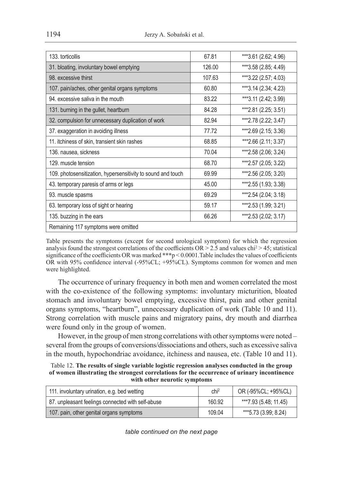| 67.81                               | ***3.61 (2.62; 4.96) |  |  |
|-------------------------------------|----------------------|--|--|
| 126.00                              | ***3.58 (2.85; 4.49) |  |  |
| 107.63                              | ***3.22 (2.57; 4.03) |  |  |
| 60.80                               | ***3.14 (2.34; 4.23) |  |  |
| 83.22                               | ***3.11 (2.42; 3.99) |  |  |
| 84.28                               | ***2.81 (2.25; 3.51) |  |  |
| 82.94                               | ***2.78 (2.22; 3.47) |  |  |
| 77.72                               | ***2.69 (2.15; 3.36) |  |  |
| 68.85                               | ***2.66 (2.11; 3.37) |  |  |
| 70.04                               | ***2.58 (2.06; 3.24) |  |  |
| 68.70                               | ***2.57 (2.05; 3.22) |  |  |
| 69.99                               | ***2.56 (2.05; 3.20) |  |  |
| 45.00                               | ***2.55 (1.93; 3.38) |  |  |
| 69.29                               | ***2.54 (2.04; 3.18) |  |  |
| 59.17                               | ***2.53 (1.99; 3.21) |  |  |
| 66.26                               | ***2.53 (2.02; 3.17) |  |  |
| Remaining 117 symptoms were omitted |                      |  |  |
|                                     |                      |  |  |

Table presents the symptoms (except for second urological symptom) for which the regression analysis found the strongest correlations of the coefficients  $OR > 2.5$  and values chi<sup>2</sup> > 45; statistical significance of the coefficients OR was marked **\*\*\***p < 0.0001.Table includes the values of coefficients OR with 95% confidence interval (-95%CL; +95%CL). Symptoms common for women and men were highlighted.

The occurrence of urinary frequency in both men and women correlated the most with the co-existence of the following symptoms: involuntary micturition, bloated stomach and involuntary bowel emptying, excessive thirst, pain and other genital organs symptoms, "heartburn", unnecessary duplication of work (Table 10 and 11). Strong correlation with muscle pains and migratory pains, dry mouth and diarrhea were found only in the group of women.

However, in the group of men strong correlations with other symptoms were noted – several from the groups of conversions/dissociations and others, such as excessive saliva in the mouth, hypochondriac avoidance, itchiness and nausea, etc. (Table 10 and 11).

Table 12. **The results of single variable logistic regression analyses conducted in the group of women illustrating the strongest correlations for the occurrence of urinary incontinence with other neurotic symptoms**

| 111. involuntary urination, e.g. bed wetting      | chi <sup>2</sup> | OR (-95%CL; +95%CL)   |
|---------------------------------------------------|------------------|-----------------------|
| 87. unpleasant feelings connected with self-abuse | 160.92           | ***7.93 (5.48; 11.45) |
| 107. pain, other genital organs symptoms          | 109.04           | ***5.73 (3.99; 8.24)  |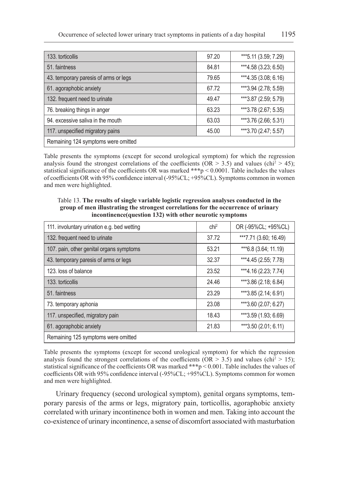| 133. torticollis                      | 97.20 | ***5.11 (3.59; 7.29) |  |
|---------------------------------------|-------|----------------------|--|
| 51. faintness                         | 84.81 | ***4.58 (3.23; 6.50) |  |
| 43. temporary paresis of arms or legs | 79.65 | ***4.35 (3.08; 6.16) |  |
| 61. agoraphobic anxiety               | 67.72 | ***3.94 (2.78; 5.59) |  |
| 132. frequent need to urinate         | 49.47 | ***3.87 (2.59; 5.79) |  |
| 76. breaking things in anger          | 63.23 | ***3.78 (2.67; 5.35) |  |
| 94. excessive saliva in the mouth     | 63.03 | ***3.76 (2.66; 5.31) |  |
| 117. unspecified migratory pains      | 45.00 | ***3.70 (2.47; 5.57) |  |
| Remaining 124 symptoms were omitted   |       |                      |  |

Table presents the symptoms (except for second urological symptom) for which the regression analysis found the strongest correlations of the coefficients (OR  $> 3.5$ ) and values (chi<sup>2</sup>  $> 45$ ); statistical significance of the coefficients OR was marked **\*\*\***p < 0.0001. Table includes the values of coefficients OR with 95% confidence interval (-95%CL; +95%CL). Symptoms common in women and men were highlighted.

Table 13. **The results of single variable logistic regression analyses conducted in the group of men illustrating the strongest correlations for the occurrence of urinary incontinence(question 132) with other neurotic symptoms**

| 111. involuntary urination e.g. bed wetting | $\mathsf{chi}^2$ | OR (-95%CL; +95%CL)   |
|---------------------------------------------|------------------|-----------------------|
| 132. frequent need to urinate               | 37.72            | ***7.71 (3.60; 16.49) |
| 107. pain, other genital organs symptoms    | 53.21            | *** 6.8 (3.64; 11.19) |
| 43. temporary paresis of arms or legs       | 32.37            | ***4.45 (2.55; 7.78)  |
| 123. loss of balance                        | 23.52            | ***4.16 (2.23; 7.74)  |
| 133. torticollis                            | 24.46            | ***3.86 (2.18; 6.84)  |
| 51. faintness                               | 23.29            | ***3.85 (2.14; 6.91)  |
| 73. temporary aphonia                       | 23.08            | ***3.60 (2.07; 6.27)  |
| 117. unspecified, migratory pain            | 18.43            | ***3.59 (1.93; 6.69)  |
| 61. agoraphobic anxiety                     | 21.83            | ***3.50 (2.01; 6.11)  |
| Remaining 125 symptoms were omitted         |                  |                       |

Table presents the symptoms (except for second urological symptom) for which the regression analysis found the strongest correlations of the coefficients (OR  $> 3.5$ ) and values (chi<sup>2</sup>  $> 15$ ); statistical significance of the coefficients OR was marked **\*\*\***p < 0.001. Table includes the values of coefficients OR with 95% confidence interval (-95%CL; +95%CL). Symptoms common for women and men were highlighted.

Urinary frequency (second urological symptom), genital organs symptoms, temporary paresis of the arms or legs, migratory pain, torticollis, agoraphobic anxiety correlated with urinary incontinence both in women and men. Taking into account the co-existence of urinary incontinence, a sense of discomfort associated with masturbation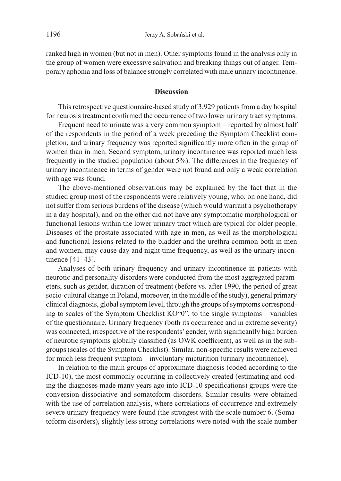ranked high in women (but not in men). Other symptoms found in the analysis only in the group of women were excessive salivation and breaking things out of anger. Temporary aphonia and loss of balance strongly correlated with male urinary incontinence.

#### **Discussion**

This retrospective questionnaire-based study of 3,929 patients from a day hospital for neurosis treatment confirmed the occurrence of two lower urinary tract symptoms.

Frequent need to urinate was a very common symptom – reported by almost half of the respondents in the period of a week preceding the Symptom Checklist completion, and urinary frequency was reported significantly more often in the group of women than in men. Second symptom, urinary incontinence was reported much less frequently in the studied population (about 5%). The differences in the frequency of urinary incontinence in terms of gender were not found and only a weak correlation with age was found.

The above-mentioned observations may be explained by the fact that in the studied group most of the respondents were relatively young, who, on one hand, did not suffer from serious burdens of the disease (which would warrant a psychotherapy in a day hospital), and on the other did not have any symptomatic morphological or functional lesions within the lower urinary tract which are typical for older people. Diseases of the prostate associated with age in men, as well as the morphological and functional lesions related to the bladder and the urethra common both in men and women, may cause day and night time frequency, as well as the urinary incontinence [41–43].

Analyses of both urinary frequency and urinary incontinence in patients with neurotic and personality disorders were conducted from the most aggregated parameters, such as gender, duration of treatment (before vs. after 1990, the period of great socio-cultural change in Poland, moreover, in the middle of the study), general primary clinical diagnosis, global symptom level, through the groups of symptoms corresponding to scales of the Symptom Checklist KO"0", to the single symptoms – variables of the questionnaire. Urinary frequency (both its occurrence and in extreme severity) was connected, irrespective of the respondents' gender, with significantly high burden of neurotic symptoms globally classified (as OWK coefficient), as well as in the subgroups (scales of the Symptom Checklist). Similar, non-specific results were achieved for much less frequent symptom – involuntary micturition (urinary incontinence).

In relation to the main groups of approximate diagnosis (coded according to the ICD-10), the most commonly occurring in collectively created (estimating and coding the diagnoses made many years ago into ICD-10 specifications) groups were the conversion-dissociative and somatoform disorders. Similar results were obtained with the use of correlation analysis, where correlations of occurrence and extremely severe urinary frequency were found (the strongest with the scale number 6. (Somatoform disorders), slightly less strong correlations were noted with the scale number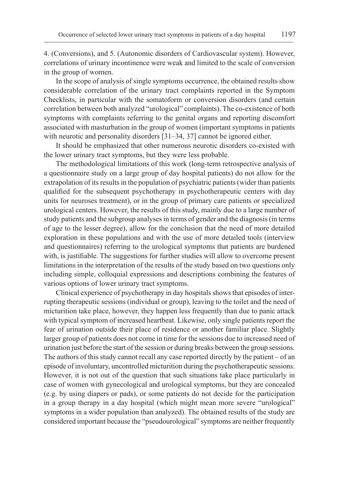4. (Conversions), and 5. (Autonomic disorders of Cardiovascular system). However, correlations of urinary incontinence were weak and limited to the scale of conversion in the group of women.

In the scope of analysis of single symptoms occurrence, the obtained results show considerable correlation of the urinary tract complaints reported in the Symptom Checklists, in particular with the somatoform or conversion disorders (and certain correlation between both analyzed "urological" complaints). The co-existence of both symptoms with complaints referring to the genital organs and reporting discomfort associated with masturbation in the group of women (important symptoms in patients with neurotic and personality disorders [31–34, 37] cannot be ignored either.

It should be emphasized that other numerous neurotic disorders co-existed with the lower urinary tract symptoms, but they were less probable.

The methodological limitations of this work (long-term retrospective analysis of a questionnaire study on a large group of day hospital patients) do not allow for the extrapolation of its results in the population of psychiatric patients (wider than patients qualified for the subsequent psychotherapy in psychotherapeutic centers with day units for neuroses treatment), or in the group of primary care patients or specialized urological centers. However, the results of this study, mainly due to a large number of study patients and the subgroup analyses in terms of gender and the diagnosis (in terms of age to the lesser degree), allow for the conclusion that the need of more detailed exploration in these populations and with the use of more detailed tools (interview and questionnaires) referring to the urological symptoms that patients are burdened with, is justifiable. The suggestions for further studies will allow to overcome present limitations in the interpretation of the results of the study based on two questions only including simple, colloquial expressions and descriptions combining the features of various options of lower urinary tract symptoms.

Clinical experience of psychotherapy in day hospitals shows that episodes of interrupting therapeutic sessions (individual or group), leaving to the toilet and the need of micturition take place, however, they happen less frequently than due to panic attack with typical symptom of increased heartbeat. Likewise, only single patients report the fear of urination outside their place of residence or another familiar place. Slightly larger group of patients does not come in time for the sessions due to increased need of urination just before the start of the session or during breaks between the group sessions. The authors of this study cannot recall any case reported directly by the patient – of an episode of involuntary, uncontrolled micturition during the psychotherapeutic sessions. However, it is not out of the question that such situations take place particularly in case of women with gynecological and urological symptoms, but they are concealed (e.g. by using diapers or pads), or some patients do not decide for the participation in a group therapy in a day hospital (which might mean more severe "urological" symptoms in a wider population than analyzed). The obtained results of the study are considered important because the "pseudourological" symptoms are neither frequently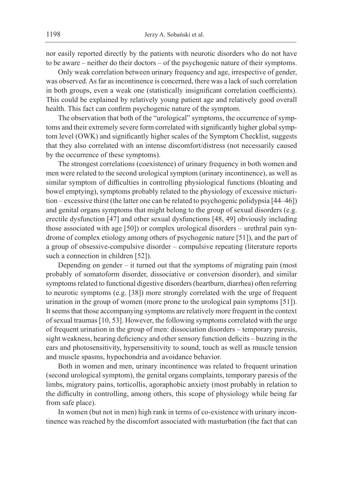nor easily reported directly by the patients with neurotic disorders who do not have to be aware – neither do their doctors – of the psychogenic nature of their symptoms.

Only weak correlation between urinary frequency and age, irrespective of gender, was observed. As far as incontinence is concerned, there was a lack of such correlation in both groups, even a weak one (statistically insignificant correlation coefficients). This could be explained by relatively young patient age and relatively good overall health. This fact can confirm psychogenic nature of the symptom.

The observation that both of the "urological" symptoms, the occurrence of symptoms and their extremely severe form correlated with significantly higher global symptom level (OWK) and significantly higher scales of the Symptom Checklist, suggests that they also correlated with an intense discomfort/distress (not necessarily caused by the occurrence of these symptoms).

The strongest correlations (coexistence) of urinary frequency in both women and men were related to the second urological symptom (urinary incontinence), as well as similar symptom of difficulties in controlling physiological functions (bloating and bowel emptying), symptoms probably related to the physiology of excessive micturition – excessive thirst (the latter one can be related to psychogenic polidypsia [44–46]) and genital organs symptoms that might belong to the group of sexual disorders (e.g. erectile dysfunction [47] and other sexual dysfunctions [48, 49] obviously including those associated with age [50]) or complex urological disorders – urethral pain syndrome of complex etiology among others of psychogenic nature [51]), and the part of a group of obsessive-compulsive disorder – compulsive repeating (literature reports such a connection in children [52]).

Depending on gender – it turned out that the symptoms of migrating pain (most probably of somatoform disorder, dissociative or conversion disorder), and similar symptoms related to functional digestive disorders (heartburn, diarrhea) often referring to neurotic symptoms (e.g. [38]) more strongly correlated with the urge of frequent urination in the group of women (more prone to the urological pain symptoms [51]). It seems that those accompanying symptoms are relatively more frequent in the context of sexual traumas [10, 53]. However, the following symptoms correlated with the urge of frequent urination in the group of men: dissociation disorders – temporary paresis, sight weakness, hearing deficiency and other sensory function deficits – buzzing in the ears and photosensitivity, hypersensitivity to sound, touch as well as muscle tension and muscle spasms, hypochondria and avoidance behavior.

Both in women and men, urinary incontinence was related to frequent urination (second urological symptom), the genital organs complaints, temporary paresis of the limbs, migratory pains, torticollis, agoraphobic anxiety (most probably in relation to the difficulty in controlling, among others, this scope of physiology while being far from safe place).

In women (but not in men) high rank in terms of co-existence with urinary incontinence was reached by the discomfort associated with masturbation (the fact that can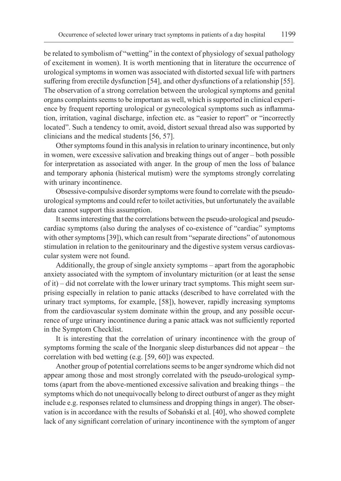be related to symbolism of "wetting" in the context of physiology of sexual pathology of excitement in women). It is worth mentioning that in literature the occurrence of urological symptoms in women was associated with distorted sexual life with partners suffering from erectile dysfunction [54], and other dysfunctions of a relationship [55]. The observation of a strong correlation between the urological symptoms and genital organs complaints seems to be important as well, which is supported in clinical experience by frequent reporting urological or gynecological symptoms such as inflammation, irritation, vaginal discharge, infection etc. as "easier to report" or "incorrectly located". Such a tendency to omit, avoid, distort sexual thread also was supported by clinicians and the medical students [56, 57].

Other symptoms found in this analysis in relation to urinary incontinence, but only in women, were excessive salivation and breaking things out of anger – both possible for interpretation as associated with anger. In the group of men the loss of balance and temporary aphonia (histerical mutism) were the symptoms strongly correlating with urinary incontinence.

Obsessive-compulsive disorder symptoms were found to correlate with the pseudourological symptoms and could refer to toilet activities, but unfortunately the available data cannot support this assumption.

It seems interesting that the correlations between the pseudo-urological and pseudocardiac symptoms (also during the analyses of co-existence of "cardiac" symptoms with other symptoms [39]), which can result from "separate directions" of autonomous stimulation in relation to the genitourinary and the digestive system versus cardiovascular system were not found.

Additionally, the group of single anxiety symptoms – apart from the agoraphobic anxiety associated with the symptom of involuntary micturition (or at least the sense of it) – did not correlate with the lower urinary tract symptoms. This might seem surprising especially in relation to panic attacks (described to have correlated with the urinary tract symptoms, for example, [58]), however, rapidly increasing symptoms from the cardiovascular system dominate within the group, and any possible occurrence of urge urinary incontinence during a panic attack was not sufficiently reported in the Symptom Checklist.

It is interesting that the correlation of urinary incontinence with the group of symptoms forming the scale of the Inorganic sleep disturbances did not appear – the correlation with bed wetting (e.g. [59, 60]) was expected.

Another group of potential correlations seems to be anger syndrome which did not appear among those and most strongly correlated with the pseudo-urological symptoms (apart from the above-mentioned excessive salivation and breaking things – the symptoms which do not unequivocally belong to direct outburst of anger as they might include e.g. responses related to clumsiness and dropping things in anger). The observation is in accordance with the results of Sobański et al. [40], who showed complete lack of any significant correlation of urinary incontinence with the symptom of anger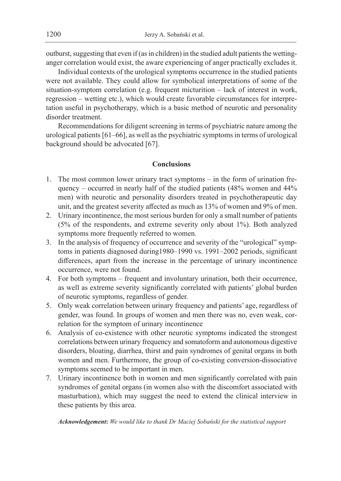outburst, suggesting that even if (as in children) in the studied adult patients the wettinganger correlation would exist, the aware experiencing of anger practically excludes it.

Individual contexts of the urological symptoms occurrence in the studied patients were not available. They could allow for symbolical interpretations of some of the situation-symptom correlation (e.g. frequent micturition – lack of interest in work, regression – wetting etc.), which would create favorable circumstances for interpretation useful in psychotherapy, which is a basic method of neurotic and personality disorder treatment.

Recommendations for diligent screening in terms of psychiatric nature among the urological patients [61–66], as well as the psychiatric symptoms in terms of urological background should be advocated [67].

## **Conclusions**

- 1. The most common lower urinary tract symptoms in the form of urination frequency – occurred in nearly half of the studied patients (48% women and 44% men) with neurotic and personality disorders treated in psychotherapeutic day unit, and the greatest severity affected as much as 13% of women and 9% of men.
- 2. Urinary incontinence, the most serious burden for only a small number of patients (5% of the respondents, and extreme severity only about 1%). Both analyzed symptoms more frequently referred to women.
- 3. In the analysis of frequency of occurrence and severity of the "urological" symptoms in patients diagnosed during1980–1990 vs. 1991–2002 periods, significant differences, apart from the increase in the percentage of urinary incontinence occurrence, were not found.
- 4. For both symptoms frequent and involuntary urination, both their occurrence, as well as extreme severity significantly correlated with patients' global burden of neurotic symptoms, regardless of gender.
- 5. Only weak correlation between urinary frequency and patients' age, regardless of gender, was found. In groups of women and men there was no, even weak, correlation for the symptom of urinary incontinence
- 6. Analysis of co-existence with other neurotic symptoms indicated the strongest correlations between urinary frequency and somatoform and autonomous digestive disorders, bloating, diarrhea, thirst and pain syndromes of genital organs in both women and men. Furthermore, the group of co-existing conversion-dissociative symptoms seemed to be important in men.
- 7. Urinary incontinence both in women and men significantly correlated with pain syndromes of genital organs (in women also with the discomfort associated with masturbation), which may suggest the need to extend the clinical interview in these patients by this area.

*Acknowledgement***:** *We would like to thank Dr Maciej Sobański for the statistical support*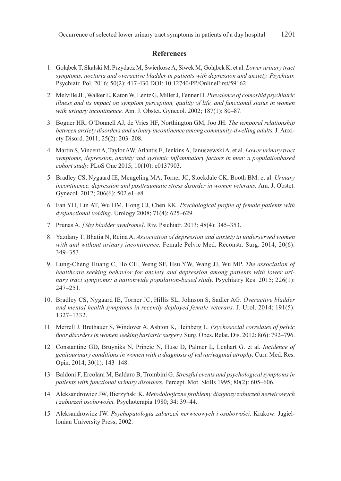#### **References**

- 1. Gołąbek T, Skalski M, Przydacz M, Świerkosz A, Siwek M, Gołąbek K. et al. *Lower urinary tract symptoms, nocturia and overactive bladder in patients with depression and anxiety. Psychiatr.*  Psychiatr. Pol. 2016; 50(2): 417-430 DOI: 10.12740/PP/OnlineFirst/59162.
- 2. Melville JL, Walker E, Katon W, Lentz G, Miller J, Fenner D. *Prevalence of comorbid psychiatric illness and its impact on symptom perception, quality of life, and functional status in women with urinary incontinence.* Am. J. Obstet. Gynecol. 2002; 187(1): 80–87.
- 3. Bogner HR, O'Donnell AJ, de Vries HF, Northington GM, Joo JH. *The temporal relationship between anxiety disorders and urinary incontinence among community-dwelling adults.* J. Anxiety Disord. 2011; 25(2): 203–208.
- 4. Martin S, Vincent A, Taylor AW, Atlantis E, Jenkins A, Januszewski A. et al. *Lower urinary tract symptoms, depression, anxiety and systemic inflammatory factors in men: a populationbased cohort study.* PLoS One 2015; 10(10): e0137903.
- 5. Bradley CS, Nygaard IE, Mengeling MA, Torner JC, Stockdale CK, Booth BM. et al. *Urinary incontinence, depression and posttraumatic stress disorder in women veterans.* Am. J. Obstet. Gynecol. 2012; 206(6): 502.e1–e8.
- 6. Fan YH, Lin AT, Wu HM, Hong CJ, Chen KK. *Psychological profile of female patients with dysfunctional voiding.* Urology 2008; 71(4): 625–629.
- 7. Prunas A. *[Shy bladder syndrome]*. Riv. Psichiatr. 2013; 48(4): 345–353.
- 8. Yazdany T, Bhatia N, Reina A. *Association of depression and anxiety in underserved women with and without urinary incontinence.* Female Pelvic Med. Reconstr. Surg. 2014; 20(6): 349–353.
- 9. Lung-Cheng Huang C, Ho CH, Weng SF, Hsu YW, Wang JJ, Wu MP. *The association of healthcare seeking behavior for anxiety and depression among patients with lower urinary tract symptoms: a nationwide population-based study.* Psychiatry Res. 2015; 226(1): 247–251.
- 10. Bradley CS, Nygaard IE, Torner JC, Hillis SL, Johnson S, Sadler AG. *Overactive bladder and mental health symptoms in recently deployed female veterans.* J. Urol. 2014; 191(5): 1327–1332.
- 11. Merrell J, Brethauer S, Windover A, Ashton K, Heinberg L. *Psychosocial correlates of pelvic floor disorders in women seeking bariatric surgery.* Surg. Obes. Relat. Dis. 2012; 8(6): 792–796.
- 12. Constantine GD, Bruyniks N, Princic N, Huse D, Palmer L, Lenhart G. et al. *Incidence of genitourinary conditions in women with a diagnosis of vulvar/vaginal atrophy.* Curr. Med. Res. Opin. 2014; 30(1): 143–148.
- 13. Baldoni F, Ercolani M, Baldaro B, Trombini G. *Stressful events and psychological symptoms in patients with functional urinary disorders.* Percept. Mot. Skills 1995; 80(2): 605–606.
- 14. Aleksandrowicz JW, Bierzyński K. *Metodologiczne problemy diagnozy zaburzeń nerwicowych i zaburzeń osobowości.* Psychoterapia 1980; 34: 39–44.
- 15. Aleksandrowicz JW. *Psychopatologia zaburzeń nerwicowych i osobowości.* Krakow: Jagiellonian University Press; 2002.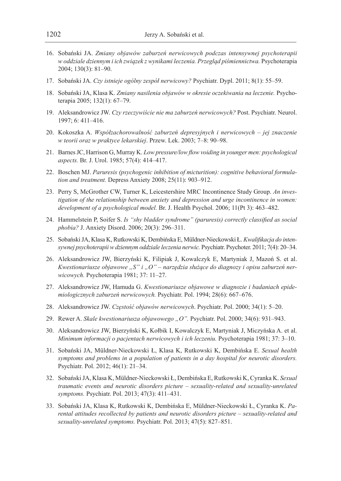- 16. Sobański JA. *Zmiany objawów zaburzeń nerwicowych podczas intensywnej psychoterapii w oddziale dziennym i ich związek z wynikami leczenia. Przegląd piśmiennictwa.* Psychoterapia 2004; 130(3): 81–90.
- 17. Sobański JA. *Czy istnieje ogólny zespół nerwicowy?* Psychiatr. Dypl. 2011; 8(1): 55–59.
- 18. Sobański JA, Klasa K. *Zmiany nasilenia objawów w okresie oczekiwania na leczenie.* Psychoterapia 2005; 132(1): 67–79.
- 19. Aleksandrowicz JW. *Czy rzeczywiście nie ma zaburzeń nerwicowych?* Post. Psychiatr. Neurol. 1997; 6: 411–416.
- 20. Kokoszka A. *Współzachorowalność zaburzeń depresyjnych i nerwicowych jej znaczenie w teorii oraz w praktyce lekarskiej*. Przew. Lek. 2003; 7–8: 90–98.
- 21. Barnes JC, Harrison G, Murray K. *Low pressure/low flow voiding in younger men: psychological aspects.* Br. J. Urol. 1985; 57(4): 414–417.
- 22. Boschen MJ. *Paruresis (psychogenic inhibition of micturition): cognitive behavioral formulation and treatment.* Depress Anxiety 2008; 25(11): 903–912.
- 23. Perry S, McGrother CW, Turner K, Leicestershire MRC Incontinence Study Group. *An investigation of the relationship between anxiety and depression and urge incontinence in women: development of a psychological model.* Br. J. Health Psychol. 2006; 11(Pt 3): 463–482.
- 24. Hammelstein P, Soifer S. *Is "shy bladder syndrome" (paruresis) correctly classified as social phobia?* J. Anxiety Disord. 2006; 20(3): 296–311.
- 25. Sobański JA, Klasa K, Rutkowski K, Dembińska E, Müldner-Nieckowski Ł. *Kwalifikacja do intensywnej psychoterapii w dziennym oddziale leczenia nerwic.* Psychiatr. Psychoter. 2011; 7(4): 20–34.
- 26. Aleksandrowicz JW, Bierzyński K, Filipiak J, Kowalczyk E, Martyniak J, Mazoń S. et al. Kwestionariusze objawowe "S" i "O" – narzędzia służące do diagnozy i opisu zaburzeń ner*wicowych.* Psychoterapia 1981; 37: 11–27.
- 27. Aleksandrowicz JW, Hamuda G. *Kwestionariusze objawowe w diagnozie i badaniach epidemiologicznych zaburzeń nerwicowych.* Psychiatr. Pol. 1994; 28(6): 667–676.
- 28. Aleksandrowicz JW. *Częstość objawów nerwicowych*. Psychiatr. Pol. 2000; 34(1): 5–20.
- 29. Rewer A. *Skale kwestionariusza objawowego "O".* Psychiatr. Pol. 2000; 34(6): 931–943.
- 30. Aleksandrowicz JW, Bierzyński K, Kołbik I, Kowalczyk E, Martyniak J, Miczyńska A. et al. *Minimum informacji o pacjentach nerwicowych i ich leczeniu.* Psychoterapia 1981; 37: 3–10.
- 31. Sobański JA, Müldner-Nieckowski Ł, Klasa K, Rutkowski K, Dembińska E. *Sexual health symptoms and problems in a population of patients in a day hospital for neurotic disorders.*  Psychiatr. Pol. 2012; 46(1): 21–34.
- 32. Sobański JA, Klasa K, Müldner-Nieckowski Ł, Dembińska E, Rutkowski K, Cyranka K. *Sexual traumatic events and neurotic disorders picture – sexuality-related and sexuality-unrelated symptoms.* Psychiatr. Pol. 2013; 47(3): 411–431.
- 33. Sobański JA, Klasa K, Rutkowski K, Dembińska E, Müldner-Nieckowski Ł, Cyranka K. *Parental attitudes recollected by patients and neurotic disorders picture – sexuality-related and sexuality-unrelated symptoms.* Psychiatr. Pol. 2013; 47(5): 827–851.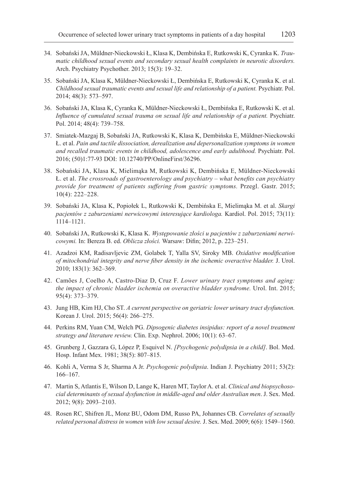- 34. Sobański JA, Müldner-Nieckowski Ł, Klasa K, Dembińska E, Rutkowski K, Cyranka K. *Traumatic childhood sexual events and secondary sexual health complaints in neurotic disorders.*  Arch. Psychiatry Psychother. 2013; 15(3): 19–32.
- 35. Sobański JA, Klasa K, Müldner-Nieckowski Ł, Dembińska E, Rutkowski K, Cyranka K. et al. *Childhood sexual traumatic events and sexual life and relationship of a patient.* Psychiatr. Pol. 2014; 48(3): 573–597.
- 36. Sobański JA, Klasa K, Cyranka K, Müldner-Nieckowski Ł, Dembińska E, Rutkowski K. et al. *Influence of cumulated sexual trauma on sexual life and relationship of a patient.* Psychiatr. Pol. 2014; 48(4): 739–758.
- 37. Smiatek-Mazgaj B, Sobański JA, Rutkowski K, Klasa K, Dembińska E, Müldner-Nieckowski Ł. et al. *Pain and tactile dissociation, derealization and depersonalization symptoms in women and recalled traumatic events in childhood, adolescence and early adulthood.* Psychiatr. Pol. 2016; (50)1:77-93 DOI: 10.12740/PP/OnlineFirst/36296.
- 38. Sobański JA, Klasa K, Mielimąka M, Rutkowski K, Dembińska E, Müldner-Nieckowski Ł. et al. *The crossroads of gastroenterology and psychiatry – what benefits can psychiatry provide for treatment of patients suffering from gastric symptoms.* Przegl. Gastr. 2015; 10(4): 222–228.
- 39. Sobański JA, Klasa K, Popiołek L, Rutkowski K, Dembińska E, Mielimąka M. et al. *Skargi pacjentów z zaburzeniami nerwicowymi interesujące kardiologa.* Kardiol. Pol. 2015; 73(11): 1114–1121.
- 40. Sobański JA, Rutkowski K, Klasa K. *Występowanie złości u pacjentów z zaburzeniami nerwicowymi.* In: Bereza B. ed. *Oblicza złości.* Warsaw: Difin; 2012, p. 223–251.
- 41. Azadzoi KM, Radisavljevic ZM, Golabek T, Yalla SV, Siroky MB. *Oxidative modification of mitochondrial integrity and nerve fiber density in the ischemic overactive bladder.* J. Urol. 2010; 183(1): 362–369.
- 42. Camões J, Coelho A, Castro-Diaz D, Cruz F. *Lower urinary tract symptoms and aging: the impact of chronic bladder ischemia on overactive bladder syndrome.* Urol. Int. 2015; 95(4): 373–379.
- 43. Jung HB, Kim HJ, Cho ST. *A current perspective on geriatric lower urinary tract dysfunction.*  Korean J. Urol. 2015; 56(4): 266–275.
- 44. Perkins RM, Yuan CM, Welch PG. *Dipsogenic diabetes insipidus: report of a novel treatment strategy and literature review.* Clin. Exp. Nephrol. 2006; 10(1): 63–67.
- 45. Grunberg J, Gazzara G, López P, Esquivel N. *[Psychogenic polydipsia in a child]*. Bol. Med. Hosp. Infant Mex. 1981; 38(5): 807–815.
- 46. Kohli A, Verma S Jr, Sharma A Jr. *Psychogenic polydipsia*. Indian J. Psychiatry 2011; 53(2): 166–167.
- 47. Martin S, Atlantis E, Wilson D, Lange K, Haren MT, Taylor A. et al. *Clinical and biopsychosocial determinants of sexual dysfunction in middle-aged and older Australian men*. J. Sex. Med. 2012; 9(8): 2093–2103.
- 48. Rosen RC, Shifren JL, Monz BU, Odom DM, Russo PA, Johannes CB. *Correlates of sexually related personal distress in women with low sexual desire.* J. Sex. Med. 2009; 6(6): 1549–1560.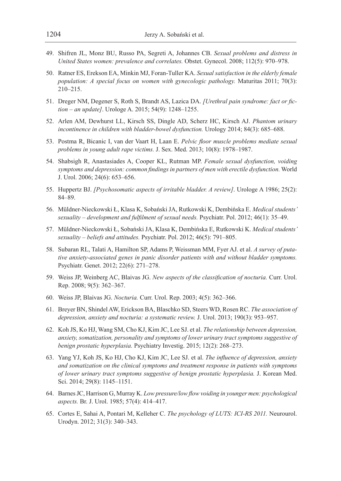- 49. Shifren JL, Monz BU, Russo PA, Segreti A, Johannes CB. *Sexual problems and distress in United States women: prevalence and correlates.* Obstet. Gynecol. 2008; 112(5): 970–978.
- 50. Ratner ES, Erekson EA, Minkin MJ, Foran-Tuller KA. *Sexual satisfaction in the elderly female population: A special focus on women with gynecologic pathology.* Maturitas 2011; 70(3): 210–215.
- 51. Dreger NM, Degener S, Roth S, Brandt AS, Lazica DA. *[Urethral pain syndrome: fact or fiction – an update]*. Urologe A. 2015; 54(9): 1248–1255.
- 52. Arlen AM, Dewhurst LL, Kirsch SS, Dingle AD, Scherz HC, Kirsch AJ. *Phantom urinary*  incontinence in children with bladder-bowel dysfunction. Urology 2014; 84(3): 685–688.
- 53. Postma R, Bicanic I, van der Vaart H, Laan E. *Pelvic floor muscle problems mediate sexual problems in young adult rape victims.* J. Sex. Med. 2013; 10(8): 1978–1987.
- 54. Shabsigh R, Anastasiades A, Cooper KL, Rutman MP. *Female sexual dysfunction, voiding symptoms and depression: common findings in partners of men with erectile dysfunction.* World J. Urol. 2006; 24(6): 653–656.
- 55. Huppertz BJ. *[Psychosomatic aspects of irritable bladder. A review]*. Urologe A 1986; 25(2): 84–89.
- 56. Müldner-Nieckowski Ł, Klasa K, Sobański JA, Rutkowski K, Dembińska E. *Medical students' sexuality – development and fulfilment of sexual needs.* Psychiatr. Pol. 2012; 46(1): 35–49.
- 57. Müldner-Nieckowski Ł, Sobański JA, Klasa K, Dembińska E, Rutkowski K. *Medical students' sexuality – beliefs and attitudes.* Psychiatr. Pol. 2012; 46(5): 791–805.
- 58. Subaran RL, Talati A, Hamilton SP, Adams P, Weissman MM, Fyer AJ. et al. *A survey of putative anxiety-associated genes in panic disorder patients with and without bladder symptoms.*  Psychiatr. Genet. 2012; 22(6): 271–278.
- 59. Weiss JP, Weinberg AC, Blaivas JG. *New aspects of the classification of nocturia.* Curr. Urol. Rep. 2008; 9(5): 362–367.
- 60. Weiss JP, Blaivas JG. *Nocturia.* Curr. Urol. Rep. 2003; 4(5): 362–366.
- 61. Breyer BN, Shindel AW, Erickson BA, Blaschko SD, Steers WD, Rosen RC. *The association of depression, anxiety and nocturia: a systematic review.* J. Urol. 2013; 190(3): 953–957.
- 62. Koh JS, Ko HJ, Wang SM, Cho KJ, Kim JC, Lee SJ. et al. *The relationship between depression, anxiety, somatization, personality and symptoms of lower urinary tract symptoms suggestive of benign prostatic hyperplasia.* Psychiatry Investig. 2015; 12(2): 268–273.
- 63. Yang YJ, Koh JS, Ko HJ, Cho KJ, Kim JC, Lee SJ. et al. *The influence of depression, anxiety and somatization on the clinical symptoms and treatment response in patients with symptoms of lower urinary tract symptoms suggestive of benign prostatic hyperplasia.* J. Korean Med. Sci. 2014; 29(8): 1145–1151.
- 64. Barnes JC, Harrison G, Murray K. *Low pressure/low flow voiding in younger men: psychological aspects.* Br. J. Urol. 1985; 57(4): 414–417.
- 65. Cortes E, Sahai A, Pontari M, Kelleher C. *The psychology of LUTS: ICI-RS 2011.* Neurourol. Urodyn. 2012; 31(3): 340–343.